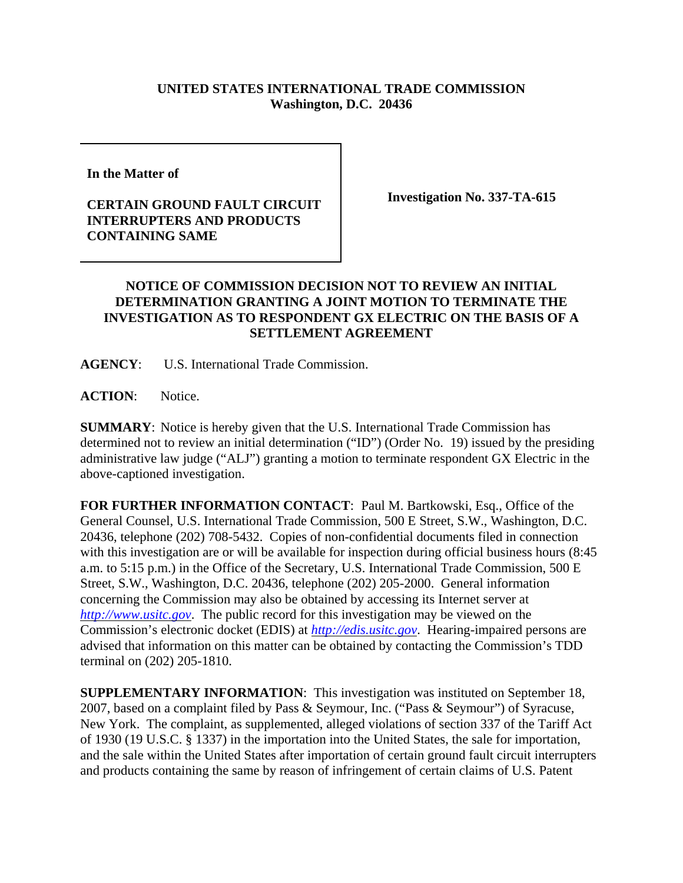## **UNITED STATES INTERNATIONAL TRADE COMMISSION Washington, D.C. 20436**

**In the Matter of** 

## **CERTAIN GROUND FAULT CIRCUIT INTERRUPTERS AND PRODUCTS CONTAINING SAME**

**Investigation No. 337-TA-615**

## **NOTICE OF COMMISSION DECISION NOT TO REVIEW AN INITIAL DETERMINATION GRANTING A JOINT MOTION TO TERMINATE THE INVESTIGATION AS TO RESPONDENT GX ELECTRIC ON THE BASIS OF A SETTLEMENT AGREEMENT**

**AGENCY**: U.S. International Trade Commission.

**ACTION**: Notice.

**SUMMARY**: Notice is hereby given that the U.S. International Trade Commission has determined not to review an initial determination ("ID") (Order No. 19) issued by the presiding administrative law judge ("ALJ") granting a motion to terminate respondent GX Electric in the above-captioned investigation.

**FOR FURTHER INFORMATION CONTACT**: Paul M. Bartkowski, Esq., Office of the General Counsel, U.S. International Trade Commission, 500 E Street, S.W., Washington, D.C. 20436, telephone (202) 708-5432. Copies of non-confidential documents filed in connection with this investigation are or will be available for inspection during official business hours (8:45 a.m. to 5:15 p.m.) in the Office of the Secretary, U.S. International Trade Commission, 500 E Street, S.W., Washington, D.C. 20436, telephone (202) 205-2000. General information concerning the Commission may also be obtained by accessing its Internet server at *http://www.usitc.gov*. The public record for this investigation may be viewed on the Commission's electronic docket (EDIS) at *http://edis.usitc.gov*. Hearing-impaired persons are advised that information on this matter can be obtained by contacting the Commission's TDD terminal on (202) 205-1810.

**SUPPLEMENTARY INFORMATION**: This investigation was instituted on September 18, 2007, based on a complaint filed by Pass & Seymour, Inc. ("Pass & Seymour") of Syracuse, New York. The complaint, as supplemented, alleged violations of section 337 of the Tariff Act of 1930 (19 U.S.C. § 1337) in the importation into the United States, the sale for importation, and the sale within the United States after importation of certain ground fault circuit interrupters and products containing the same by reason of infringement of certain claims of U.S. Patent